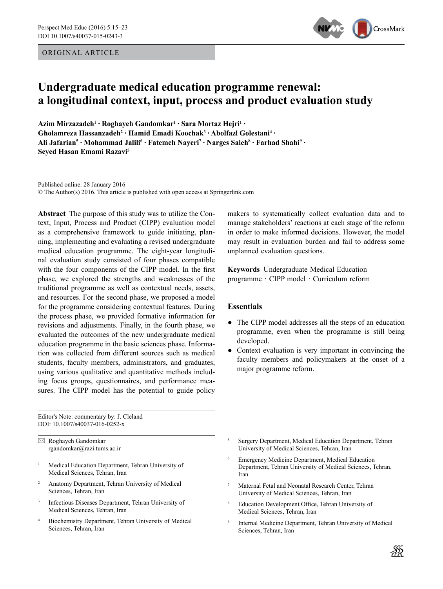Original Article



# **Undergraduate medical education programme renewal: a longitudinal context, input, process and product evaluation study**

**Azim Mirzazadeh1 · Roghayeh Gandomkar1 · Sara Mortaz Hejri1 · Gholamreza Hassanzadeh2 · Hamid Emadi Koochak3 · Abolfazl Golestani4 · Ali Jafarian5 · Mohammad Jalili6 · Fatemeh Nayeri7 · Narges Saleh8 · Farhad Shahi9 · Seyed Hasan Emami Razavi5**

Published online: 28 January 2016 © The Author(s) 2016. This article is published with open access at Springerlink.com

**Abstract** The purpose of this study was to utilize the Context, Input, Process and Product (CIPP) evaluation model as a comprehensive framework to guide initiating, planning, implementing and evaluating a revised undergraduate medical education programme. The eight-year longitudinal evaluation study consisted of four phases compatible with the four components of the CIPP model. In the first phase, we explored the strengths and weaknesses of the traditional programme as well as contextual needs, assets, and resources. For the second phase, we proposed a model for the programme considering contextual features. During the process phase, we provided formative information for revisions and adjustments. Finally, in the fourth phase, we evaluated the outcomes of the new undergraduate medical education programme in the basic sciences phase. Information was collected from different sources such as medical students, faculty members, administrators, and graduates, using various qualitative and quantitative methods including focus groups, questionnaires, and performance measures. The CIPP model has the potential to guide policy

makers to systematically collect evaluation data and to manage stakeholders' reactions at each stage of the reform in order to make informed decisions. However, the model may result in evaluation burden and fail to address some unplanned evaluation questions.

**Keywords** Undergraduate Medical Education programme · CIPP model · Curriculum reform

## **Essentials**

- The CIPP model addresses all the steps of an education programme, even when the programme is still being developed.
- Context evaluation is very important in convincing the faculty members and policymakers at the onset of a major programme reform.

Editor's Note: commentary by: J. Cleland DOI: [10.1007/s40037-016-0252-x](http://dx.doi.org/10.1007/s40037-016-0252-x)

 $\boxtimes$  Roghayeh Gandomkar rgandomkar@razi.tums.ac.ir

- <sup>1</sup> Medical Education Department, Tehran University of Medical Sciences, Tehran, Iran
- <sup>2</sup> Anatomy Department, Tehran University of Medical Sciences, Tehran, Iran
- <sup>3</sup> Infectious Diseases Department, Tehran University of Medical Sciences, Tehran, Iran
- <sup>4</sup> Biochemistry Department, Tehran University of Medical Sciences, Tehran, Iran
- <sup>5</sup> Surgery Department, Medical Education Department, Tehran University of Medical Sciences, Tehran, Iran
- <sup>6</sup> Emergency Medicine Department, Medical Education Department, Tehran University of Medical Sciences, Tehran, Iran
- Maternal Fetal and Neonatal Research Center, Tehran University of Medical Sciences, Tehran, Iran
- 8 Education Development Office, Tehran University of Medical Sciences, Tehran, Iran
- Internal Medicine Department, Tehran University of Medical Sciences, Tehran, Iran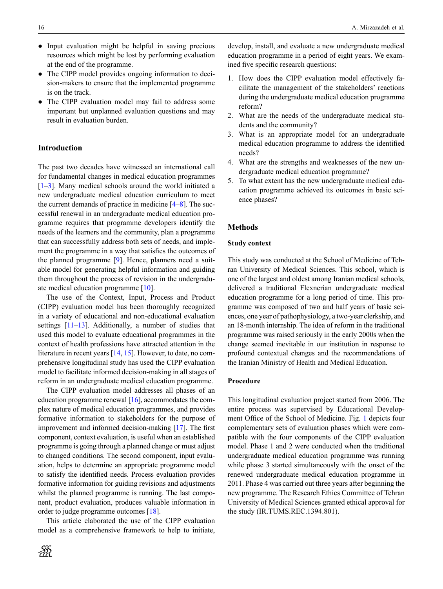- Input evaluation might be helpful in saving precious resources which might be lost by performing evaluation at the end of the programme.
- The CIPP model provides ongoing information to decision-makers to ensure that the implemented programme is on the track.
- The CIPP evaluation model may fail to address some important but unplanned evaluation questions and may result in evaluation burden.

## **Introduction**

The past two decades have witnessed an international call for fundamental changes in medical education programmes  $[1-3]$  $[1-3]$  $[1-3]$  $[1-3]$ . Many medical schools around the world initiated a new undergraduate medical education curriculum to meet the current demands of practice in medicine  $[4-8]$  $[4-8]$  $[4-8]$  $[4-8]$ . The successful renewal in an undergraduate medical education programme requires that programme developers identify the needs of the learners and the community, plan a programme that can successfully address both sets of needs, and implement the programme in a way that satisfies the outcomes of the planned programme [[9\]](#page-7-4). Hence, planners need a suitable model for generating helpful information and guiding them throughout the process of revision in the undergraduate medical education programme [[10\]](#page-7-5).

The use of the Context, Input, Process and Product (CIPP) evaluation model has been thoroughly recognized in a variety of educational and non-educational evaluation settings  $[11-13]$  $[11-13]$  $[11-13]$ . Additionally, a number of studies that used this model to evaluate educational programmes in the context of health professions have attracted attention in the literature in recent years [\[14](#page-7-8), [15\]](#page-7-9). However, to date, no comprehensive longitudinal study has used the CIPP evaluation model to facilitate informed decision-making in all stages of reform in an undergraduate medical education programme.

The CIPP evaluation model addresses all phases of an education programme renewal  $[16]$ , accommodates the complex nature of medical education programmes, and provides formative information to stakeholders for the purpose of improvement and informed decision-making [\[17](#page-7-11)]. The first component, context evaluation, is useful when an established programme is going through a planned change or must adjust to changed conditions. The second component, input evaluation, helps to determine an appropriate programme model to satisfy the identified needs. Process evaluation provides formative information for guiding revisions and adjustments whilst the planned programme is running. The last component, product evaluation, produces valuable information in order to judge programme outcomes [[18\]](#page-7-12).

This article elaborated the use of the CIPP evaluation model as a comprehensive framework to help to initiate, develop, install, and evaluate a new undergraduate medical education programme in a period of eight years. We examined five specific research questions:

- 1. How does the CIPP evaluation model effectively facilitate the management of the stakeholders' reactions during the undergraduate medical education programme reform?
- 2. What are the needs of the undergraduate medical students and the community?
- 3. What is an appropriate model for an undergraduate medical education programme to address the identified needs?
- 4. What are the strengths and weaknesses of the new undergraduate medical education programme?
- 5. To what extent has the new undergraduate medical education programme achieved its outcomes in basic science phases?

## **Methods**

## **Study context**

This study was conducted at the School of Medicine of Tehran University of Medical Sciences. This school, which is one of the largest and oldest among Iranian medical schools, delivered a traditional Flexnerian undergraduate medical education programme for a long period of time. This programme was composed of two and half years of basic sciences, one year of pathophysiology, a two-year clerkship, and an 18-month internship. The idea of reform in the traditional programme was raised seriously in the early 2000s when the change seemed inevitable in our institution in response to profound contextual changes and the recommendations of the Iranian Ministry of Health and Medical Education.

## **Procedure**

This longitudinal evaluation project started from 2006. The entire process was supervised by Educational Development Office of the School of Medicine. Fig. [1](#page-2-0) depicts four complementary sets of evaluation phases which were compatible with the four components of the CIPP evaluation model. Phase 1 and 2 were conducted when the traditional undergraduate medical education programme was running while phase 3 started simultaneously with the onset of the renewed undergraduate medical education programme in 2011. Phase 4 was carried out three years after beginning the new programme. The Research Ethics Committee of Tehran University of Medical Sciences granted ethical approval for the study (IR.TUMS.REC.1394.801).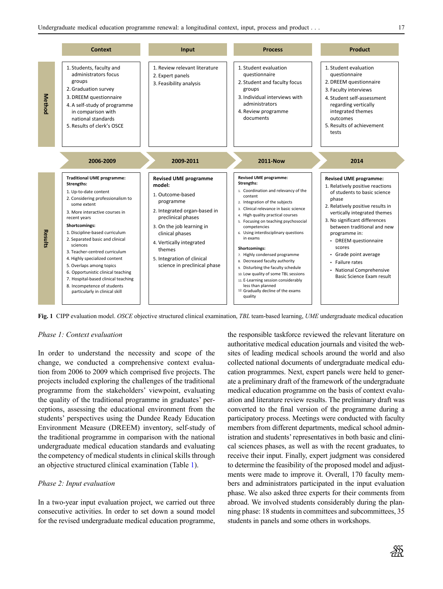<span id="page-2-0"></span>

**Fig. 1** CIPP evaluation model. *OSCE* objective structured clinical examination, *TBL* team-based learning, *UME* undergraduate medical education

## *Phase 1: Context evaluation*

In order to understand the necessity and scope of the change, we conducted a comprehensive context evaluation from 2006 to 2009 which comprised five projects. The projects included exploring the challenges of the traditional programme from the stakeholders' viewpoint, evaluating the quality of the traditional programme in graduates' perceptions, assessing the educational environment from the students' perspectives using the Dundee Ready Education Environment Measure (DREEM) inventory, self-study of the traditional programme in comparison with the national undergraduate medical education standards and evaluating the competency of medical students in clinical skills through an objective structured clinical examination (Table [1](#page-3-0)).

#### *Phase 2: Input evaluation*

In a two-year input evaluation project, we carried out three consecutive activities. In order to set down a sound model for the revised undergraduate medical education programme, the responsible taskforce reviewed the relevant literature on authoritative medical education journals and visited the websites of leading medical schools around the world and also collected national documents of undergraduate medical education programmes. Next, expert panels were held to generate a preliminary draft of the framework of the undergraduate medical education programme on the basis of context evaluation and literature review results. The preliminary draft was converted to the final version of the programme during a participatory process. Meetings were conducted with faculty members from different departments, medical school administration and students' representatives in both basic and clinical sciences phases, as well as with the recent graduates, to receive their input. Finally, expert judgment was considered to determine the feasibility of the proposed model and adjustments were made to improve it. Overall, 170 faculty members and administrators participated in the input evaluation phase. We also asked three experts for their comments from abroad. We involved students considerably during the planning phase: 18 students in committees and subcommittees, 35 students in panels and some others in workshops.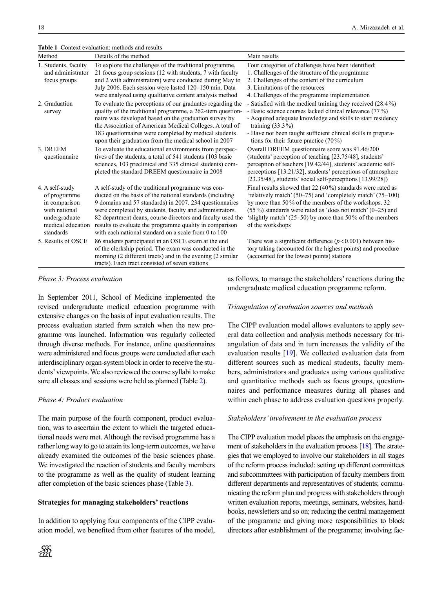<span id="page-3-0"></span>**Table 1** Context evaluation: methods and results

| Method                                                                                                               | Details of the method                                                                                                                                                                                                                                                                                                                                                                                                  | Main results                                                                                                                                                                                                                                                                                                                         |
|----------------------------------------------------------------------------------------------------------------------|------------------------------------------------------------------------------------------------------------------------------------------------------------------------------------------------------------------------------------------------------------------------------------------------------------------------------------------------------------------------------------------------------------------------|--------------------------------------------------------------------------------------------------------------------------------------------------------------------------------------------------------------------------------------------------------------------------------------------------------------------------------------|
| 1. Students, faculty<br>and administrator<br>focus groups                                                            | To explore the challenges of the traditional programme,<br>21 focus group sessions (12 with students, 7 with faculty<br>and 2 with administrators) were conducted during May to<br>July 2006. Each session were lasted 120-150 min. Data<br>were analyzed using qualitative content analysis method                                                                                                                    | Four categories of challenges have been identified:<br>1. Challenges of the structure of the programme<br>2. Challenges of the content of the curriculum<br>3. Limitations of the resources<br>4. Challenges of the programme implementation                                                                                         |
| 2. Graduation<br>survey                                                                                              | To evaluate the perceptions of our graduates regarding the<br>quality of the traditional programme, a 262-item question-<br>naire was developed based on the graduation survey by<br>the Association of American Medical Colleges. A total of<br>183 questionnaires were completed by medical students<br>upon their graduation from the medical school in 2007                                                        | - Satisfied with the medical training they received (28.4%)<br>- Basic science courses lacked clinical relevance (77%)<br>- Acquired adequate knowledge and skills to start residency<br>training $(33.3\%)$<br>- Have not been taught sufficient clinical skills in prepara-<br>tions for their future practice $(70\%)$            |
| 3. DREEM<br>questionnaire                                                                                            | To evaluate the educational environments from perspec-<br>tives of the students, a total of 541 students (103 basic<br>sciences, 103 preclinical and 335 clinical students) com-<br>pleted the standard DREEM questionnaire in 2008                                                                                                                                                                                    | Overall DREEM questionnaire score was 91.46/200<br>(students' perception of teaching [23.75/48], students'<br>perception of teachers [19.42/44], students' academic self-<br>perceptions [13.21/32], students' perceptions of atmosphere<br>$[23.35/48]$ , students' social self-perceptions $[13.99/28]$ )                          |
| 4. A self-study<br>of programme<br>in comparison<br>with national<br>undergraduate<br>medical education<br>standards | A self-study of the traditional programme was con-<br>ducted on the basis of the national standards (including)<br>9 domains and 57 standards) in 2007. 234 questionnaires<br>were completed by students, faculty and administrators.<br>82 department deans, course directors and faculty used the<br>results to evaluate the programme quality in comparison<br>with each national standard on a scale from 0 to 100 | Final results showed that $22(40\%)$ standards were rated as<br>'relatively match' (50–75) and 'completely match' (75–100)<br>by more than 50% of the members of the workshops. 32<br>$(55\%)$ standards were rated as 'does not match' $(0-25)$ and<br>'slightly match' (25–50) by more than 50% of the members<br>of the workshops |
| 5. Results of OSCE                                                                                                   | 86 students participated in an OSCE exam at the end<br>of the clerkship period. The exam was conducted in the<br>morning (2 different tracts) and in the evening (2 similar<br>tracts). Each tract consisted of seven stations                                                                                                                                                                                         | There was a significant difference $(p<0.001)$ between his-<br>tory taking (accounted for the highest points) and procedure<br>(accounted for the lowest points) stations                                                                                                                                                            |

## *Phase 3: Process evaluation*

In September 2011, School of Medicine implemented the revised undergraduate medical education programme with extensive changes on the basis of input evaluation results. The process evaluation started from scratch when the new programme was launched. Information was regularly collected through diverse methods. For instance, online questionnaires were administered and focus groups were conducted after each interdisciplinary organ-system block in order to receive the students' viewpoints. We also reviewed the course syllabi to make sure all classes and sessions were held as planned (Table [2\)](#page-4-0).

## *Phase 4: Product evaluation*

The main purpose of the fourth component, product evaluation, was to ascertain the extent to which the targeted educational needs were met. Although the revised programme has a rather long way to go to attain its long-term outcomes, we have already examined the outcomes of the basic sciences phase. We investigated the reaction of students and faculty members to the programme as well as the quality of student learning after completion of the basic sciences phase (Table [3\)](#page-4-1).

#### **Strategies for managing stakeholders' reactions**

In addition to applying four components of the CIPP evaluation model, we benefited from other features of the model,



as follows, to manage the stakeholders' reactions during the undergraduate medical education programme reform.

#### *Triangulation of evaluation sources and methods*

The CIPP evaluation model allows evaluators to apply several data collection and analysis methods necessary for triangulation of data and in turn increases the validity of the evaluation results [\[19](#page-7-13)]. We collected evaluation data from different sources such as medical students, faculty members, administrators and graduates using various qualitative and quantitative methods such as focus groups, questionnaires and performance measures during all phases and within each phase to address evaluation questions properly.

#### *Stakeholders' involvement in the evaluation process*

The CIPP evaluation model places the emphasis on the engagement of stakeholders in the evaluation process [\[18\]](#page-7-12). The strategies that we employed to involve our stakeholders in all stages of the reform process included: setting up different committees and subcommittees with participation of faculty members from different departments and representatives of students; communicating the reform plan and progress with stakeholders through written evaluation reports, meetings, seminars, websites, handbooks, newsletters and so on; reducing the central management of the programme and giving more responsibilities to block directors after establishment of the programme; involving fac-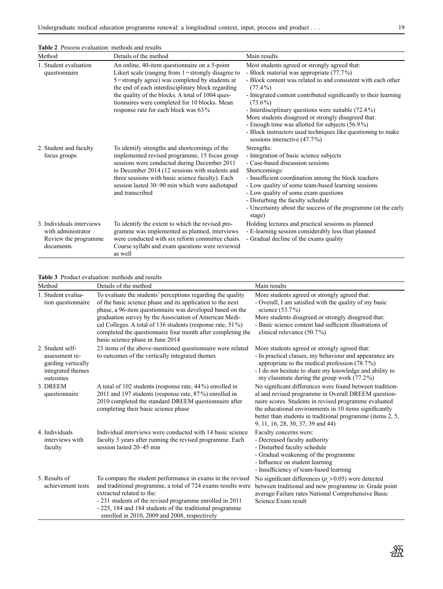| Method                                                                                | Details of the method                                                                                                                                                                                                                                                                                                                                      | Main results                                                                                                                                                                                                                                                                                                                                                                                                                                                                                                                   |
|---------------------------------------------------------------------------------------|------------------------------------------------------------------------------------------------------------------------------------------------------------------------------------------------------------------------------------------------------------------------------------------------------------------------------------------------------------|--------------------------------------------------------------------------------------------------------------------------------------------------------------------------------------------------------------------------------------------------------------------------------------------------------------------------------------------------------------------------------------------------------------------------------------------------------------------------------------------------------------------------------|
| 1. Student evaluation<br>questionnaire                                                | An online, 40-item questionnaire on a 5-point<br>Likert scale (ranging from $1 =$ strongly disagree to<br>5=strongly agree) was completed by students at<br>the end of each interdisciplinary block regarding<br>the quality of the blocks. A total of 1004 ques-<br>tionnaires were completed for 10 blocks. Mean<br>response rate for each block was 63% | Most students agreed or strongly agreed that:<br>- Block material was appropriate (77.7%)<br>- Block content was related to and consistent with each other<br>$(77.4\%)$<br>- Integrated content contributed significantly to their learning<br>$(73.6\%)$<br>- Interdisciplinary questions were suitable (72.4%)<br>More students disagreed or strongly disagreed that:<br>- Enough time was allotted for subjects (56.9%)<br>- Block instructors used techniques like questioning to make<br>sessions interactive $(47.7\%)$ |
| 2. Student and faculty<br>focus groups                                                | To identify strengths and shortcomings of the<br>implemented revised programme, 15 focus group<br>sessions were conducted during December 2011<br>to December 2014 (12 sessions with students and<br>three sessions with basic science faculty). Each<br>session lasted 30–90 min which were audiotaped<br>and transcribed                                 | Strengths:<br>- Integration of basic science subjects<br>- Case-based discussion sessions<br>Shortcomings:<br>- Insufficient coordination among the block teachers<br>- Low quality of some team-based learning sessions<br>- Low quality of some exam questions<br>- Disturbing the faculty schedule<br>- Uncertainty about the success of the programme (at the early<br>stage)                                                                                                                                              |
| 3. Individuals interviews<br>with administrator<br>Review the programme.<br>documents | To identify the extent to which the revised pro-<br>gramme was implemented as planned, interviews<br>were conducted with six reform committee chairs.<br>Course syllabi and exam questions were reviewed                                                                                                                                                   | Holding lectures and practical sessions as planned<br>- E-learning session considerably less than planned<br>- Gradual decline of the exams quality                                                                                                                                                                                                                                                                                                                                                                            |

<span id="page-4-0"></span>**Table 2** Process evaluation: methods and results

<span id="page-4-1"></span>**Table 3** Product evaluation: methods and results

as well

| Method                                                                                    | Details of the method                                                                                                                                                                                                                                                                                                                                                                                             | Main results                                                                                                                                                                                                                                                                                                                          |
|-------------------------------------------------------------------------------------------|-------------------------------------------------------------------------------------------------------------------------------------------------------------------------------------------------------------------------------------------------------------------------------------------------------------------------------------------------------------------------------------------------------------------|---------------------------------------------------------------------------------------------------------------------------------------------------------------------------------------------------------------------------------------------------------------------------------------------------------------------------------------|
| 1. Student evalua-<br>tion questionnaire                                                  | To evaluate the students' perceptions regarding the quality<br>of the basic science phase and its application to the next<br>phase, a 96-item questionnaire was developed based on the<br>graduation survey by the Association of American Medi-<br>cal Colleges. A total of 136 students (response rate, 51%)<br>completed the questionnaire four month after completing the<br>basic science phase in June 2014 | More students agreed or strongly agreed that:<br>- Overall, I am satisfied with the quality of my basic<br>science $(53.7%)$<br>More students disagreed or strongly disagreed that:<br>- Basic science content had sufficient illustrations of<br>clinical relevance $(50.7\%)$                                                       |
| 2. Student self-<br>assessment re-<br>garding vertically<br>integrated themes<br>outcomes | 23 items of the above-mentioned questionnaire were related<br>to outcomes of the vertically integrated themes                                                                                                                                                                                                                                                                                                     | More students agreed or strongly agreed that:<br>- In practical classes, my behaviour and appearance are<br>appropriate to the medical profession $(78.7%)$<br>- I do not hesitate to share my knowledge and ability to<br>my classmate during the group work $(77.2\%)$                                                              |
| 3. DREEM<br>questionnaire                                                                 | A total of 102 students (response rate, 44%) enrolled in<br>2011 and 197 students (response rate, 87%) enrolled in<br>2010 completed the standard DREEM questionnaire after<br>completing their basic science phase                                                                                                                                                                                               | No significant differences were found between tradition-<br>al and revised programme in Overall DREEM question-<br>naire scores. Students in revised programme evaluated<br>the educational environments in 10 items significantly<br>better than students in traditional programme (items 2, 5,<br>9, 11, 16, 28, 30, 37, 39 and 44) |
| 4. Individuals<br>interviews with<br>faculty                                              | Individual interviews were conducted with 14 basic science<br>faculty 3 years after running the revised programme. Each<br>session lasted 20–45 min                                                                                                                                                                                                                                                               | Faculty concerns were:<br>- Decreased faculty authority<br>- Disturbed faculty schedule<br>- Gradual weakening of the programme<br>- Influence on student learning<br>- Insufficiency of team-based learning                                                                                                                          |
| 5. Results of<br>achievement tests                                                        | To compare the student performance in exams in the revised<br>and traditional programme, a total of 724 exams results were<br>extracted related to the:<br>- 231 students of the revised programme enrolled in 2011<br>- 225, 184 and 184 students of the traditional programme<br>enrolled in 2010, 2009 and 2008, respectively                                                                                  | No significant differences $(p_{s} > 0.05)$ were detected<br>between traditional and new programme in: Grade point<br>average Failure rates National Comprehensive Basic<br>Science Exam result                                                                                                                                       |

£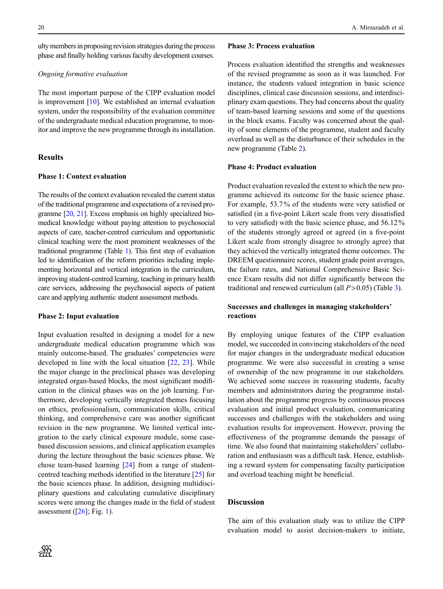ulty members in proposing revision strategies during the process phase and finally holding various faculty development courses.

#### *Ongoing formative evaluation*

The most important purpose of the CIPP evaluation model is improvement  $[10]$ . We established an internal evaluation system, under the responsibility of the evaluation committee of the undergraduate medical education programme, to monitor and improve the new programme through its installation.

## **Results**

#### **Phase 1: Context evaluation**

The results of the context evaluation revealed the current status of the traditional programme and expectations of a revised programme [[20](#page-7-14), [21\]](#page-7-15). Excess emphasis on highly specialized biomedical knowledge without paying attention to psychosocial aspects of care, teacher-centred curriculum and opportunistic clinical teaching were the most prominent weaknesses of the traditional programme (Table [1](#page-3-0)). This first step of evaluation led to identification of the reform priorities including implementing horizontal and vertical integration in the curriculum, improving student-centred learning, teaching in primary health care services, addressing the psychosocial aspects of patient care and applying authentic student assessment methods.

#### **Phase 2: Input evaluation**

Input evaluation resulted in designing a model for a new undergraduate medical education programme which was mainly outcome-based. The graduates' competencies were developed in line with the local situation [[22,](#page-7-16) [23](#page-7-17)]. While the major change in the preclinical phases was developing integrated organ-based blocks, the most significant modification in the clinical phases was on the job learning. Furthermore, developing vertically integrated themes focusing on ethics, professionalism, communication skills, critical thinking, and comprehensive care was another significant revision in the new programme. We limited vertical integration to the early clinical exposure module, some casebased discussion sessions, and clinical application examples during the lecture throughout the basic sciences phase. We chose team-based learning  $[24]$  $[24]$  from a range of studentcentred teaching methods identified in the literature [[25\]](#page-7-19) for the basic sciences phase. In addition, designing multidisciplinary questions and calculating cumulative disciplinary scores were among the changes made in the field of student assessment  $([26]$  $([26]$ ; Fig. [1\)](#page-2-0).

#### **Phase 3: Process evaluation**

Process evaluation identified the strengths and weaknesses of the revised programme as soon as it was launched. For instance, the students valued integration in basic science disciplines, clinical case discussion sessions, and interdisciplinary exam questions. They had concerns about the quality of team-based learning sessions and some of the questions in the block exams. Faculty was concerned about the quality of some elements of the programme, student and faculty overload as well as the disturbance of their schedules in the new programme (Table [2\)](#page-4-0).

## **Phase 4: Product evaluation**

Product evaluation revealed the extent to which the new programme achieved its outcome for the basic science phase. For example, 53.7% of the students were very satisfied or satisfied (in a five-point Likert scale from very dissatisfied to very satisfied) with the basic science phase, and 56.12% of the students strongly agreed or agreed (in a five-point Likert scale from strongly disagree to strongly agree) that they achieved the vertically integrated theme outcomes. The DREEM questionnaire scores, student grade point averages, the failure rates, and National Comprehensive Basic Science Exam results did not differ significantly between the traditional and renewed curriculum (all *P*>0.05) (Table [3\)](#page-4-1).

## **Successes and challenges in managing stakeholders' reactions**

By employing unique features of the CIPP evaluation model, we succeeded in convincing stakeholders of the need for major changes in the undergraduate medical education programme. We were also successful in creating a sense of ownership of the new programme in our stakeholders. We achieved some success in reassuring students, faculty members and administrators during the programme installation about the programme progress by continuous process evaluation and initial product evaluation, communicating successes and challenges with the stakeholders and using evaluation results for improvement. However, proving the effectiveness of the programme demands the passage of time. We also found that maintaining stakeholders' collaboration and enthusiasm was a difficult task. Hence, establishing a reward system for compensating faculty participation and overload teaching might be beneficial.

## **Discussion**

The aim of this evaluation study was to utilize the CIPP evaluation model to assist decision-makers to initiate,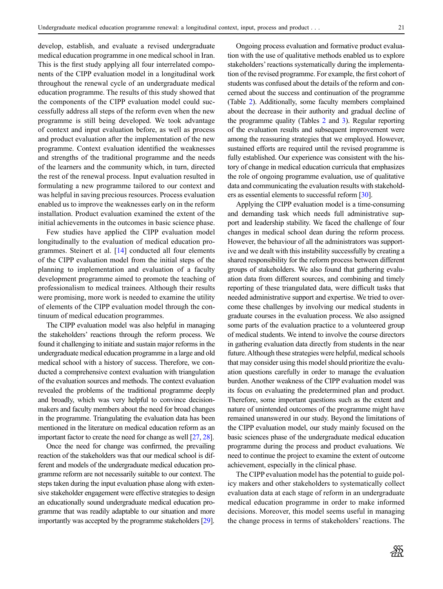develop, establish, and evaluate a revised undergraduate medical education programme in one medical school in Iran. This is the first study applying all four interrelated components of the CIPP evaluation model in a longitudinal work throughout the renewal cycle of an undergraduate medical education programme. The results of this study showed that the components of the CIPP evaluation model could successfully address all steps of the reform even when the new programme is still being developed. We took advantage of context and input evaluation before, as well as process and product evaluation after the implementation of the new programme. Context evaluation identified the weaknesses and strengths of the traditional programme and the needs of the learners and the community which, in turn, directed the rest of the renewal process. Input evaluation resulted in formulating a new programme tailored to our context and was helpful in saving precious resources. Process evaluation enabled us to improve the weaknesses early on in the reform installation. Product evaluation examined the extent of the initial achievements in the outcomes in basic science phase.

Few studies have applied the CIPP evaluation model longitudinally to the evaluation of medical education programmes. Steinert et al. [\[14](#page-7-8)] conducted all four elements of the CIPP evaluation model from the initial steps of the planning to implementation and evaluation of a faculty development programme aimed to promote the teaching of professionalism to medical trainees. Although their results were promising, more work is needed to examine the utility of elements of the CIPP evaluation model through the continuum of medical education programmes.

The CIPP evaluation model was also helpful in managing the stakeholders' reactions through the reform process. We found it challenging to initiate and sustain major reforms in the undergraduate medical education programme in a large and old medical school with a history of success. Therefore, we conducted a comprehensive context evaluation with triangulation of the evaluation sources and methods. The context evaluation revealed the problems of the traditional programme deeply and broadly, which was very helpful to convince decisionmakers and faculty members about the need for broad changes in the programme. Triangulating the evaluation data has been mentioned in the literature on medical education reform as an important factor to create the need for change as well [[27](#page-7-22), [28](#page-7-23)].

Once the need for change was confirmed, the prevailing reaction of the stakeholders was that our medical school is different and models of the undergraduate medical education programme reform are not necessarily suitable to our context. The steps taken during the input evaluation phase along with extensive stakeholder engagement were effective strategies to design an educationally sound undergraduate medical education programme that was readily adaptable to our situation and more importantly was accepted by the programme stakeholders [\[29\]](#page-7-24).

Ongoing process evaluation and formative product evaluation with the use of qualitative methods enabled us to explore stakeholders' reactions systematically during the implementation of the revised programme. For example, the first cohort of students was confused about the details of the reform and concerned about the success and continuation of the programme (Table 2). Additionally, some faculty members complained about the decrease in their authority and gradual decline of the programme quality (Tables 2 and [3\)](#page-4-1). Regular reporting of the evaluation results and subsequent improvement were among the reassuring strategies that we employed. However, sustained efforts are required until the revised programme is fully established. Our experience was consistent with the history of change in medical education curricula that emphasizes the role of ongoing programme evaluation, use of qualitative data and communicating the evaluation results with stakeholders as essential elements to successful reform [[30\]](#page-7-21).

Applying the CIPP evaluation model is a time-consuming and demanding task which needs full administrative support and leadership stability. We faced the challenge of four changes in medical school dean during the reform process. However, the behaviour of all the administrators was supportive and we dealt with this instability successfully by creating a shared responsibility for the reform process between different groups of stakeholders. We also found that gathering evaluation data from different sources, and combining and timely reporting of these triangulated data, were difficult tasks that needed administrative support and expertise. We tried to overcome these challenges by involving our medical students in graduate courses in the evaluation process. We also assigned some parts of the evaluation practice to a volunteered group of medical students. We intend to involve the course directors in gathering evaluation data directly from students in the near future. Although these strategies were helpful, medical schools that may consider using this model should prioritize the evaluation questions carefully in order to manage the evaluation burden. Another weakness of the CIPP evaluation model was its focus on evaluating the predetermined plan and product. Therefore, some important questions such as the extent and nature of unintended outcomes of the programme might have remained unanswered in our study. Beyond the limitations of the CIPP evaluation model, our study mainly focused on the basic sciences phase of the undergraduate medical education programme during the process and product evaluations. We need to continue the project to examine the extent of outcome achievement, especially in the clinical phase.

The CIPP evaluation model has the potential to guide policy makers and other stakeholders to systematically collect evaluation data at each stage of reform in an undergraduate medical education programme in order to make informed decisions. Moreover, this model seems useful in managing the change process in terms of stakeholders' reactions. The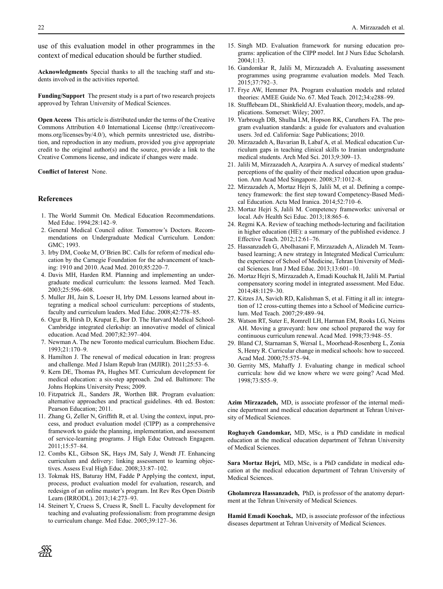use of this evaluation model in other programmes in the context of medical education should be further studied.

**Acknowledgments** Special thanks to all the teaching staff and students involved in the activities reported.

**Funding/Support** The present study is a part of two research projects approved by Tehran University of Medical Sciences.

**Open Access** This article is distributed under the terms of the Creative Commons Attribution 4.0 International License [\(http://creativecom](http://creativecommons.org/licenses/by/4.0/)[mons.org/licenses/by/4.0/](http://creativecommons.org/licenses/by/4.0/)), which permits unrestricted use, distribution, and reproduction in any medium, provided you give appropriate credit to the original author(s) and the source, provide a link to the Creative Commons license, and indicate if changes were made.

**Conflict of Interest** None.

#### **References**

- <span id="page-7-0"></span>1. The World Summit On. Medical Education Recommendations. Med Educ. 1994;28:142–9.
- 2. General Medical Council editor. Tomorrow's Doctors. Recommendations on Undergraduate Medical Curriculum. London: GMC; 1993.
- <span id="page-7-1"></span>3. Irby DM, Cooke M, O'Brien BC. Calls for reform of medical education by the Carnegie Foundation for the advancement of teaching: 1910 and 2010. Acad Med. 2010;85:220–7.
- <span id="page-7-2"></span>4. Davis MH, Harden RM. Planning and implementing an undergraduate medical curriculum: the lessons learned. Med Teach. 2003;25:596–608.
- 5. Muller JH, Jain S, Loeser H, Irby DM. Lessons learned about integrating a medical school curriculum: perceptions of students, faculty and curriculum leaders. Med Educ. 2008;42:778–85.
- 6. Ogur B, Hirsh D, Krupat E, Bor D. The Harvard Medical School-Cambridge integrated clerkship: an innovative model of clinical education. Acad Med. 2007;82:397–404.
- 7. Newman A. The new Toronto medical curriculum. Biochem Educ. 1993;21:170–9.
- <span id="page-7-3"></span>8. Hamilton J. The renewal of medical education in Iran: progress and challenge. Med J Islam Repub Iran (MJIRI). 2011;25:53–6.
- <span id="page-7-4"></span>9. Kern DE, Thomas PA, Hughes MT. Curriculum development for medical education: a six-step approach. 2nd ed. Baltimore: The Johns Hopkins University Press; 2009.
- <span id="page-7-5"></span>10. Fitzpatrick JL, Sanders JR, Worthen BR. Program evaluation: alternative approaches and practical guidelines. 4th ed. Boston: Pearson Education; 2011.
- <span id="page-7-6"></span>11. Zhang G, Zeller N, Griffith R, et al. Using the context, input, process, and product evaluation model (CIPP) as a comprehensive framework to guide the planning, implementation, and assessment of service-learning programs. J High Educ Outreach Engagem. 2011;15:57–84.
- 12. Combs KL, Gibson SK, Hays JM, Saly J, Wendt JT. Enhancing curriculum and delivery: linking assessment to learning objectives. Assess Eval High Educ. 2008;33:87–102.
- <span id="page-7-7"></span>13. Tokmak HS, Baturay HM, Fadde P Applying the context, input, process, product evaluation model for evaluation, research, and redesign of an online master's program. Int Rev Res Open Distrib Learn (IRRODL). 2013;14:273–93.
- <span id="page-7-8"></span>14. Steinert Y, Cruess S, Cruess R, Snell L. Faculty development for teaching and evaluating professionalism: from programme design to curriculum change. Med Educ. 2005;39:127–36.
- <span id="page-7-9"></span>15. Singh MD. Evaluation framework for nursing education programs: application of the CIPP model. Int J Nurs Educ Scholarsh. 2004;1:13.
- <span id="page-7-10"></span>16. Gandomkar R, Jalili M, Mirzazadeh A. Evaluating assessment programmes using programme evaluation models. Med Teach. 2015;37:792–3.
- <span id="page-7-11"></span>17. Frye AW, Hemmer PA. Program evaluation models and related theories: AMEE Guide No. 67. Med Teach. 2012;34:e288‒99.
- <span id="page-7-12"></span>18. Stufflebeam DL, Shinkfield AJ. Evaluation theory, models, and applications. Somerset: Wiley; 2007.
- <span id="page-7-13"></span>19. Yarbrough DB, Shulha LM, Hopson RK, Caruthers FA. The program evaluation standards: a guide for evaluators and evaluation users. 3rd ed. California: Sage Publications; 2010.
- <span id="page-7-14"></span>20. Mirzazadeh A, Bavarian B, Labaf A, et al. Medical education Curriculum gaps in teaching clinical skills to Iranian undergraduate medical students. Arch Med Sci. 2013;9:309–13.
- <span id="page-7-15"></span>21. Jalili M, Mirzazadeh A, Azarpira A. A survey of medical students' perceptions of the quality of their medical education upon graduation. Ann Acad Med Singapore. 2008;37:1012–8.
- <span id="page-7-16"></span>22. Mirzazadeh A, Mortaz Hejri S, Jalili M, et al. Defining a competency framework: the first step toward Competency-Based Medical Education. Acta Med Iranica. 2014;52:710–6.
- <span id="page-7-17"></span>23. Mortaz Hejri S, Jalili M. Competency frameworks: universal or local. Adv Health Sci Educ. 2013;18:865–6.
- <span id="page-7-18"></span>24. Regmi KA. Review of teaching methods-lecturing and facilitation in higher education (HE): a summary of the published evidence. J Effective Teach. 2012;12:61–76.
- <span id="page-7-19"></span>25. Hassanzadeh G, Abolhasani F, Mirzazadeh A, Alizadeh M. Teambased learning; A new strategy in Integrated Medical Curriculum: the experience of School of Medicine, Tehran University of Medical Sciences. Iran J Med Educ. 2013;13:601–10.
- <span id="page-7-20"></span>26. Mortaz Hejri S, Mirzazadeh A, Emadi Kouchak H, Jalili M. Partial compensatory scoring model in integrated assessment. Med Educ. 2014;48:1129–30.
- <span id="page-7-22"></span>27. Kitzes JA, Savich RD, Kalishman S, et al. Fitting it all in: integration of 12 cross-cutting themes into a School of Medicine curriculum. Med Teach. 2007;29:489–94.
- <span id="page-7-23"></span>28. Watson RT, Suter E, Romrell LH, Harman EM, Rooks LG, Neims AH. Moving a graveyard: how one school prepared the way for continuous curriculum renewal. Acad Med. 1998;73:948–55.
- <span id="page-7-24"></span>29. Bland CJ, Starnaman S, Wersal L, Moorhead-Rosenberg L, Zonia S, Henry R. Curricular change in medical schools: how to succeed. Acad Med. 2000;75:575–94.
- <span id="page-7-21"></span>30. Gerrity MS, Mahaffy J. Evaluating change in medical school curricula: how did we know where we were going? Acad Med. 1998;73:S55‒9.

**Azim Mirzazadeh,** MD, is associate professor of the internal medicine department and medical education department at Tehran University of Medical Sciences.

**Roghayeh Gandomkar,** MD, MSc, is a PhD candidate in medical education at the medical education department of Tehran University of Medical Sciences.

**Sara Mortaz Hejri,** MD, MSc, is a PhD candidate in medical education at the medical education department of Tehran University of Medical Sciences.

**Gholamreza Hassanzadeh,** PhD, is professor of the anatomy department at the Tehran University of Medical Sciences.

**Hamid Emadi Koochak,** MD, is associate professor of the infectious diseases department at Tehran University of Medical Sciences.